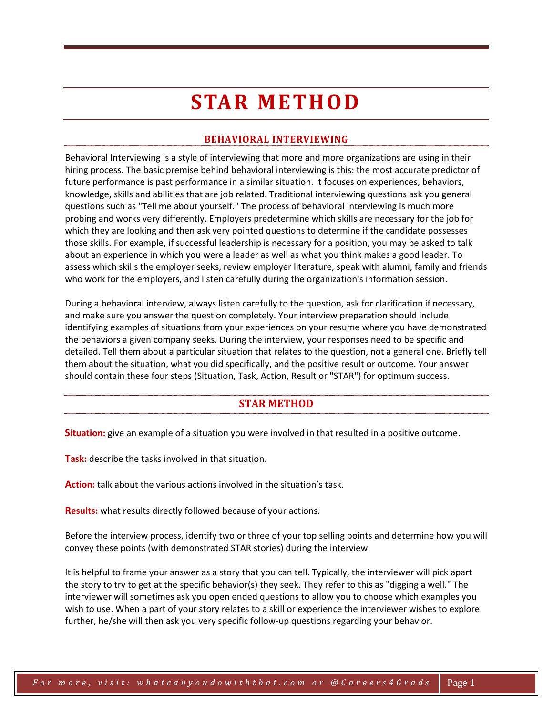# **STAR METHOD**

# **BEHAVIORAL INTERVIEWING**

Behavioral Interviewing is a style of interviewing that more and more organizations are using in their hiring process. The basic premise behind behavioral interviewing is this: the most accurate predictor of future performance is past performance in a similar situation. It focuses on experiences, behaviors, knowledge, skills and abilities that are job related. Traditional interviewing questions ask you general questions such as "Tell me about yourself." The process of behavioral interviewing is much more probing and works very differently. Employers predetermine which skills are necessary for the job for which they are looking and then ask very pointed questions to determine if the candidate possesses those skills. For example, if successful leadership is necessary for a position, you may be asked to talk about an experience in which you were a leader as well as what you think makes a good leader. To assess which skills the employer seeks, review employer literature, speak with alumni, family and friends who work for the employers, and listen carefully during the organization's information session.

During a behavioral interview, always listen carefully to the question, ask for clarification if necessary, and make sure you answer the question completely. Your interview preparation should include identifying examples of situations from your experiences on your resume where you have demonstrated the behaviors a given company seeks. During the interview, your responses need to be specific and detailed. Tell them about a particular situation that relates to the question, not a general one. Briefly tell them about the situation, what you did specifically, and the positive result or outcome. Your answer should contain these four steps (Situation, Task, Action, Result or "STAR") for optimum success.

### **STAR METHOD**

**Situation:** give an example of a situation you were involved in that resulted in a positive outcome.

**Task:** describe the tasks involved in that situation.

**Action:** talk about the various actions involved in the situation's task.

**Results:** what results directly followed because of your actions.

Before the interview process, identify two or three of your top selling points and determine how you will convey these points (with demonstrated STAR stories) during the interview.

It is helpful to frame your answer as a story that you can tell. Typically, the interviewer will pick apart the story to try to get at the specific behavior(s) they seek. They refer to this as "digging a well." The interviewer will sometimes ask you open ended questions to allow you to choose which examples you wish to use. When a part of your story relates to a skill or experience the interviewer wishes to explore further, he/she will then ask you very specific follow-up questions regarding your behavior.